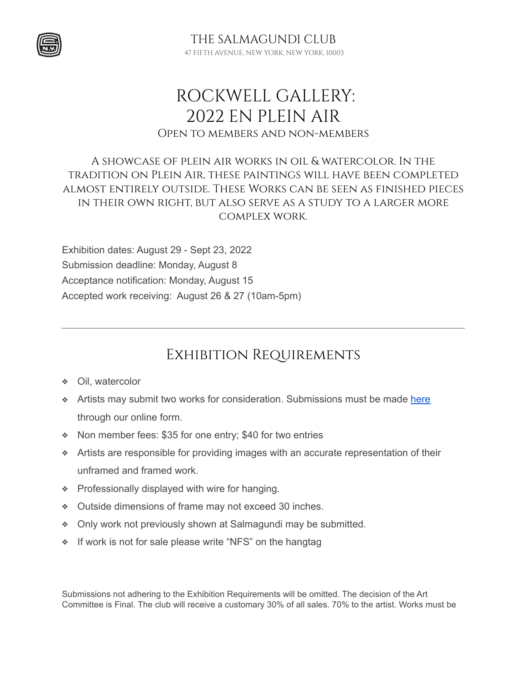

# ROCKWELL GALLERY: 2022 EN PLEIN AIR Open to members and non-members

### A showcase of plein air works in oil & watercolor. In the tradition on Plein Air, these paintings will have been completed almost entirely outside. These Works can be seen as finished pieces in their own right, but also serve as a study to a larger more complex work.

Exhibition dates: August 29 - Sept 23, 2022 Submission deadline: Monday, August 8 Acceptance notification: Monday, August 15 Accepted work receiving: August 26 & 27 (10am-5pm)

## Exhibition Requirements

- ❖ Oil, watercolor
- ◆ Artists may submit two works for consideration. Submissions must be made [here](https://showsubmit.com/show/?s=sc-2022-en-plein-air) through our online form.
- ❖ Non member fees: \$35 for one entry; \$40 for two entries
- ❖ Artists are responsible for providing images with an accurate representation of their unframed and framed work.
- ❖ Professionally displayed with wire for hanging.
- ❖ Outside dimensions of frame may not exceed 30 inches.
- ❖ Only work not previously shown at Salmagundi may be submitted.
- ❖ If work is not for sale please write "NFS" on the hangtag

Submissions not adhering to the Exhibition Requirements will be omitted. The decision of the Art Committee is Final. The club will receive a customary 30% of all sales. 70% to the artist. Works must be